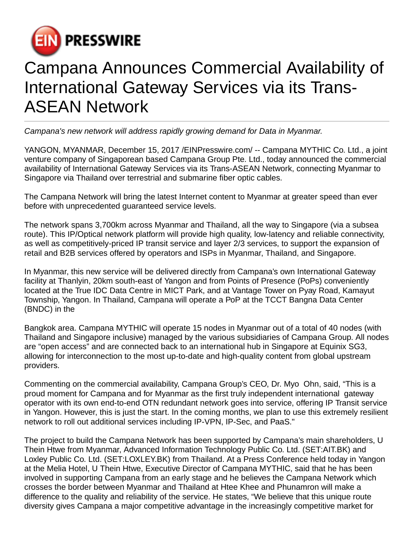

## Campana Announces Commercial Availability of International Gateway Services via its Trans-ASEAN Network

Campana's new network will address rapidly growing demand for Data in Myanmar.

YANGON, MYANMAR, December 15, 2017 [/EINPresswire.com](http://www.einpresswire.com)/ -- Campana MYTHIC Co. Ltd., a joint venture company of Singaporean based Campana Group Pte. Ltd., today announced the commercial availability of International Gateway Services via its Trans-ASEAN Network, connecting Myanmar to Singapore via Thailand over terrestrial and submarine fiber optic cables.

The Campana Network will bring the latest Internet content to Myanmar at greater speed than ever before with unprecedented guaranteed service levels.

The network spans 3,700km across Myanmar and Thailand, all the way to Singapore (via a subsea route). This IP/Optical network platform will provide high quality, low-latency and reliable connectivity, as well as competitively-priced IP transit service and layer 2/3 services, to support the expansion of retail and B2B services offered by operators and ISPs in Myanmar, Thailand, and Singapore.

In Myanmar, this new service will be delivered directly from Campana's own International Gateway facility at Thanlyin, 20km south-east of Yangon and from Points of Presence (PoPs) conveniently located at the True IDC Data Centre in MICT Park, and at Vantage Tower on Pyay Road, Kamayut Township, Yangon. In Thailand, Campana will operate a PoP at the TCCT Bangna Data Center (BNDC) in the

Bangkok area. Campana MYTHIC will operate 15 nodes in Myanmar out of a total of 40 nodes (with Thailand and Singapore inclusive) managed by the various subsidiaries of Campana Group. All nodes are "open access" and are connected back to an international hub in Singapore at Equinix SG3, allowing for interconnection to the most up-to-date and high-quality content from global upstream providers.

Commenting on the commercial availability, Campana Group's CEO, Dr. Myo Ohn, said, "This is a proud moment for Campana and for Myanmar as the first truly independent international gateway operator with its own end-to-end OTN redundant network goes into service, offering IP Transit service in Yangon. However, this is just the start. In the coming months, we plan to use this extremely resilient network to roll out additional services including IP-VPN, IP-Sec, and PaaS."

The project to build the Campana Network has been supported by Campana's main shareholders, U Thein Htwe from Myanmar, Advanced Information Technology Public Co. Ltd. (SET:AIT.BK) and Loxley Public Co. Ltd. (SET:LOXLEY.BK) from Thailand. At a Press Conference held today in Yangon at the Melia Hotel, U Thein Htwe, Executive Director of Campana MYTHIC, said that he has been involved in supporting Campana from an early stage and he believes the Campana Network which crosses the border between Myanmar and Thailand at Htee Khee and Phunamron will make a difference to the quality and reliability of the service. He states, "We believe that this unique route diversity gives Campana a major competitive advantage in the increasingly competitive market for